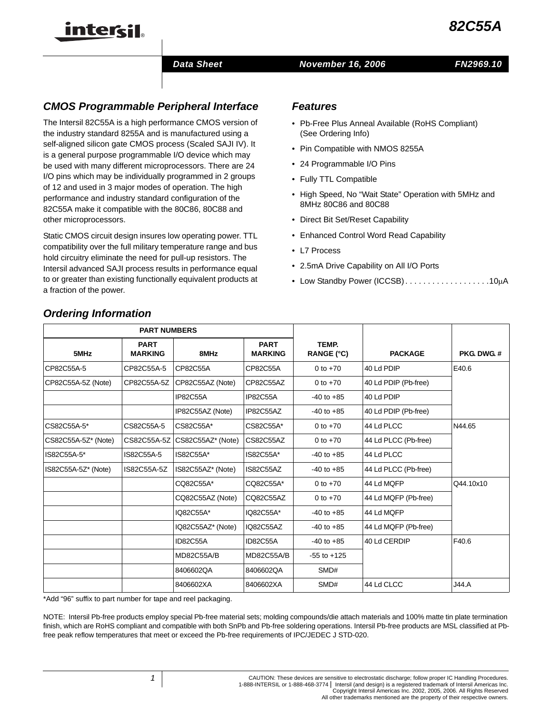

#### *Data Sheet November 16, 2006*

# *CMOS Programmable Peripheral Interface*

The Intersil 82C55A is a high performance CMOS version of the industry standard 8255A and is manufactured using a self-aligned silicon gate CMOS process (Scaled SAJI IV). It is a general purpose programmable I/O device which may be used with many different microprocessors. There are 24 I/O pins which may be individually programmed in 2 groups of 12 and used in 3 major modes of operation. The high performance and industry standard configuration of the 82C55A make it compatible with the 80C86, 80C88 and other microprocessors.

Static CMOS circuit design insures low operating power. TTL compatibility over the full military temperature range and bus hold circuitry eliminate the need for pull-up resistors. The Intersil advanced SAJI process results in performance equal to or greater than existing functionally equivalent products at a fraction of the power.

## *Features*

- Pb-Free Plus Anneal Available (RoHS Compliant) (See Ordering Info)
- Pin Compatible with NMOS 8255A
- 24 Programmable I/O Pins
- Fully TTL Compatible
- High Speed, No "Wait State" Operation with 5MHz and 8MHz 80C86 and 80C88
- Direct Bit Set/Reset Capability
- Enhanced Control Word Read Capability
- L7 Process
- 2.5mA Drive Capability on All I/O Ports
- Low Standby Power (ICCSB) . . . . . . . . . . . . . . . . . 10μA

|                     | <b>PART NUMBERS</b>           |                   |                               |                            |                      |                    |
|---------------------|-------------------------------|-------------------|-------------------------------|----------------------------|----------------------|--------------------|
| 5MHz                | <b>PART</b><br><b>MARKING</b> | 8MHz              | <b>PART</b><br><b>MARKING</b> | TEMP.<br><b>RANGE (°C)</b> | <b>PACKAGE</b>       | <b>PKG. DWG. #</b> |
| CP82C55A-5          | CP82C55A-5                    | CP82C55A          | CP82C55A                      | 0 to $+70$                 | 40 Ld PDIP           | E40.6              |
| CP82C55A-5Z (Note)  | CP82C55A-5Z                   | CP82C55AZ (Note)  | CP82C55AZ                     | 0 to $+70$                 | 40 Ld PDIP (Pb-free) |                    |
|                     |                               | IP82C55A          | IP82C55A                      | $-40$ to $+85$             | 40 Ld PDIP           |                    |
|                     |                               | IP82C55AZ (Note)  | IP82C55AZ                     | $-40$ to $+85$             | 40 Ld PDIP (Pb-free) |                    |
| CS82C55A-5*         | CS82C55A-5                    | CS82C55A*         | CS82C55A*                     | 0 to $+70$                 | 44 Ld PLCC           | N44.65             |
| CS82C55A-5Z* (Note) | CS82C55A-5Z                   | CS82C55AZ* (Note) | CS82C55AZ                     | 0 to $+70$                 | 44 Ld PLCC (Pb-free) |                    |
| IS82C55A-5*         | IS82C55A-5                    | IS82C55A*         | IS82C55A*                     | $-40$ to $+85$             | 44 Ld PLCC           |                    |
| IS82C55A-5Z* (Note) | IS82C55A-5Z                   | IS82C55AZ* (Note) | IS82C55AZ                     | $-40$ to $+85$             | 44 Ld PLCC (Pb-free) |                    |
|                     |                               | CQ82C55A*         | CQ82C55A*                     | 0 to $+70$                 | 44 Ld MQFP           | Q44.10x10          |
|                     |                               | CQ82C55AZ (Note)  | CQ82C55AZ                     | 0 to $+70$                 | 44 Ld MQFP (Pb-free) |                    |
|                     |                               | IQ82C55A*         | IQ82C55A*                     | $-40$ to $+85$             | 44 Ld MQFP           |                    |
|                     |                               | IQ82C55AZ* (Note) | IQ82C55AZ                     | $-40$ to $+85$             | 44 Ld MQFP (Pb-free) |                    |
|                     |                               | ID82C55A          | ID82C55A                      | $-40$ to $+85$             | 40 Ld CERDIP         | F40.6              |
|                     |                               | <b>MD82C55A/B</b> | <b>MD82C55A/B</b>             | $-55$ to $+125$            |                      |                    |
|                     |                               | 8406602QA         | 8406602QA                     | SMD#                       |                      |                    |
|                     |                               | 8406602XA         | 8406602XA                     | SMD#                       | 44 Ld CLCC           | <b>J44.A</b>       |

# *Ordering Information*

intersil

\*Add "96" suffix to part number for tape and reel packaging.

NOTE: Intersil Pb-free products employ special Pb-free material sets; molding compounds/die attach materials and 100% matte tin plate termination finish, which are RoHS compliant and compatible with both SnPb and Pb-free soldering operations. Intersil Pb-free products are MSL classified at Pbfree peak reflow temperatures that meet or exceed the Pb-free requirements of IPC/JEDEC J STD-020.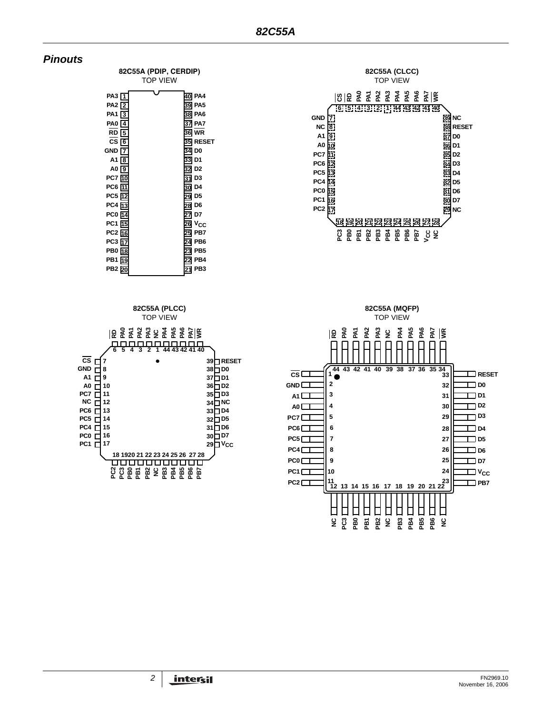





 $\frac{6}{2}$ **PB3 PB4 PB5 PB6**

囗

目 囗 口

**PB1 PB2**

口 口

**82C55A (CLCC)** TOP VIEW

**26 25 24 23 <sup>18</sup> <sup>19</sup> <sup>20</sup> <sup>21</sup> <sup>22</sup> PB7**

**NC**

囗

囗

 $\Box$   $v_{cc}$ **D7 D6**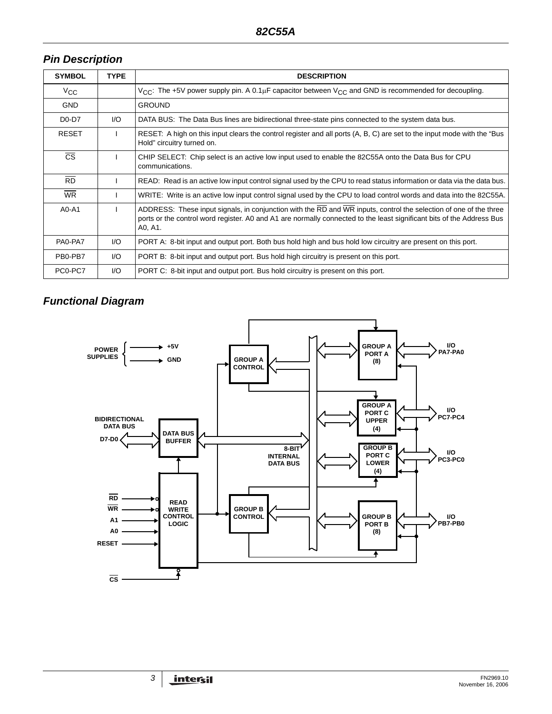# *Pin Description*

| <b>SYMBOL</b>            | <b>TYPE</b> | <b>DESCRIPTION</b>                                                                                                                                                                                                                                    |
|--------------------------|-------------|-------------------------------------------------------------------------------------------------------------------------------------------------------------------------------------------------------------------------------------------------------|
| $V_{\rm CC}$             |             | $V_{\text{CC}}$ : The +5V power supply pin. A 0.1µF capacitor between $V_{\text{CC}}$ and GND is recommended for decoupling.                                                                                                                          |
| <b>GND</b>               |             | <b>GROUND</b>                                                                                                                                                                                                                                         |
| $D0-D7$                  | 1/O         | DATA BUS: The Data Bus lines are bidirectional three-state pins connected to the system data bus.                                                                                                                                                     |
| <b>RESET</b>             |             | RESET: A high on this input clears the control register and all ports (A, B, C) are set to the input mode with the "Bus"<br>Hold" circuitry turned on.                                                                                                |
| $\overline{\text{cs}}$   |             | CHIP SELECT: Chip select is an active low input used to enable the 82C55A onto the Data Bus for CPU<br>communications.                                                                                                                                |
| $\overline{RD}$          |             | READ: Read is an active low input control signal used by the CPU to read status information or data via the data bus.                                                                                                                                 |
| $\overline{\mathsf{WR}}$ |             | WRITE: Write is an active low input control signal used by the CPU to load control words and data into the 82C55A.                                                                                                                                    |
| $A0 - A1$                |             | ADDRESS: These input signals, in conjunction with the RD and WR inputs, control the selection of one of the three<br>ports or the control word register. A0 and A1 are normally connected to the least significant bits of the Address Bus<br>A0, A1. |
| PA0-PA7                  | I/O         | PORT A: 8-bit input and output port. Both bus hold high and bus hold low circuitry are present on this port.                                                                                                                                          |
| PB0-PB7                  | I/O         | PORT B: 8-bit input and output port. Bus hold high circuitry is present on this port.                                                                                                                                                                 |
| PC0-PC7                  | I/O         | PORT C: 8-bit input and output port. Bus hold circuitry is present on this port.                                                                                                                                                                      |

# *Functional Diagram*

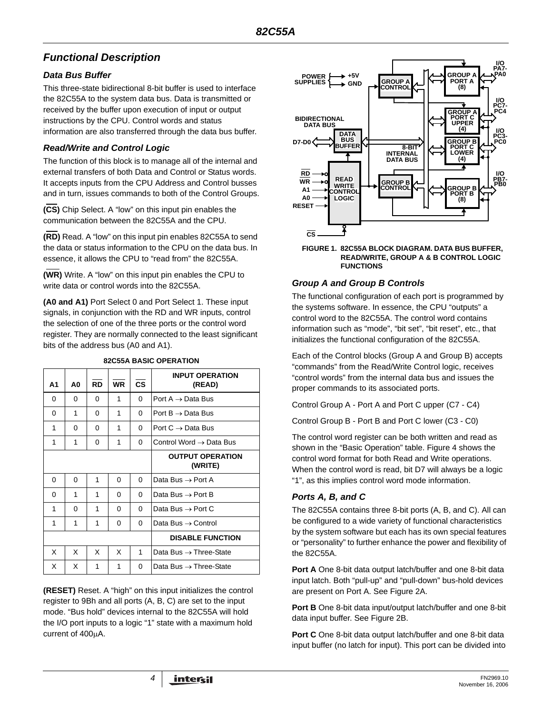# *Functional Description*

## *Data Bus Buffer*

This three-state bidirectional 8-bit buffer is used to interface the 82C55A to the system data bus. Data is transmitted or received by the buffer upon execution of input or output instructions by the CPU. Control words and status information are also transferred through the data bus buffer.

## *Read/Write and Control Logic*

The function of this block is to manage all of the internal and external transfers of both Data and Control or Status words. It accepts inputs from the CPU Address and Control busses and in turn, issues commands to both of the Control Groups.

**(CS)** Chip Select. A "low" on this input pin enables the communication between the 82C55A and the CPU.

**(RD)** Read. A "low" on this input pin enables 82C55A to send the data or status information to the CPU on the data bus. In essence, it allows the CPU to "read from" the 82C55A.

**(WR)** Write. A "low" on this input pin enables the CPU to write data or control words into the 82C55A.

**(A0 and A1)** Port Select 0 and Port Select 1. These input signals, in conjunction with the RD and WR inputs, control the selection of one of the three ports or the control word register. They are normally connected to the least significant bits of the address bus (A0 and A1).

| А1 | A0       | <b>RD</b> | <b>WR</b> | <b>CS</b> | <b>INPUT OPERATION</b><br>(READ)    |
|----|----------|-----------|-----------|-----------|-------------------------------------|
| 0  | 0        | $\Omega$  | 1         | $\Omega$  | Port A $\rightarrow$ Data Bus       |
| 0  | 1        | 0         | 1         | $\Omega$  | Port $B \rightarrow$ Data Bus       |
| 1  | 0        | 0         | 1         | 0         | Port $C \rightarrow$ Data Bus       |
| 1  | 1        | 0         | 1         | $\Omega$  | Control Word $\rightarrow$ Data Bus |
|    |          |           |           |           | <b>OUTPUT OPERATION</b><br>(WRITE)  |
| 0  | $\Omega$ | 1         | 0         | $\Omega$  | Data Bus $\rightarrow$ Port A       |
| 0  | 1        | 1         | $\Omega$  | 0         | Data Bus $\rightarrow$ Port B       |
| 1  | 0        | 1         | 0         | 0         | Data Bus $\rightarrow$ Port C       |
| 1  | 1        | 1         | 0         | 0         | Data Bus $\rightarrow$ Control      |
|    |          |           |           |           | <b>DISABLE FUNCTION</b>             |
| X  | X        | X         | X         | 1         | Data Bus $\rightarrow$ Three-State  |
| X  | X        | 1         | 1         | $\Omega$  | Data Bus $\rightarrow$ Three-State  |

#### **82C55A BASIC OPERATION**

**(RESET)** Reset. A "high" on this input initializes the control register to 9Bh and all ports (A, B, C) are set to the input mode. "Bus hold" devices internal to the 82C55A will hold the I/O port inputs to a logic "1" state with a maximum hold current of 400μA.



#### **FIGURE 1. 82C55A BLOCK DIAGRAM. DATA BUS BUFFER, READ/WRITE, GROUP A & B CONTROL LOGIC FUNCTIONS**

## *Group A and Group B Controls*

The functional configuration of each port is programmed by the systems software. In essence, the CPU "outputs" a control word to the 82C55A. The control word contains information such as "mode", "bit set", "bit reset", etc., that initializes the functional configuration of the 82C55A.

Each of the Control blocks (Group A and Group B) accepts "commands" from the Read/Write Control logic, receives "control words" from the internal data bus and issues the proper commands to its associated ports.

Control Group A - Port A and Port C upper (C7 - C4)

Control Group B - Port B and Port C lower (C3 - C0)

The control word register can be both written and read as shown in the "Basic Operation" table. Figure 4 shows the control word format for both Read and Write operations. When the control word is read, bit D7 will always be a logic "1", as this implies control word mode information.

## *Ports A, B, and C*

The 82C55A contains three 8-bit ports (A, B, and C). All can be configured to a wide variety of functional characteristics by the system software but each has its own special features or "personality" to further enhance the power and flexibility of the 82C55A.

**Port A** One 8-bit data output latch/buffer and one 8-bit data input latch. Both "pull-up" and "pull-down" bus-hold devices are present on Port A. See Figure 2A.

**Port B** One 8-bit data input/output latch/buffer and one 8-bit data input buffer. See Figure 2B.

**Port C** One 8-bit data output latch/buffer and one 8-bit data input buffer (no latch for input). This port can be divided into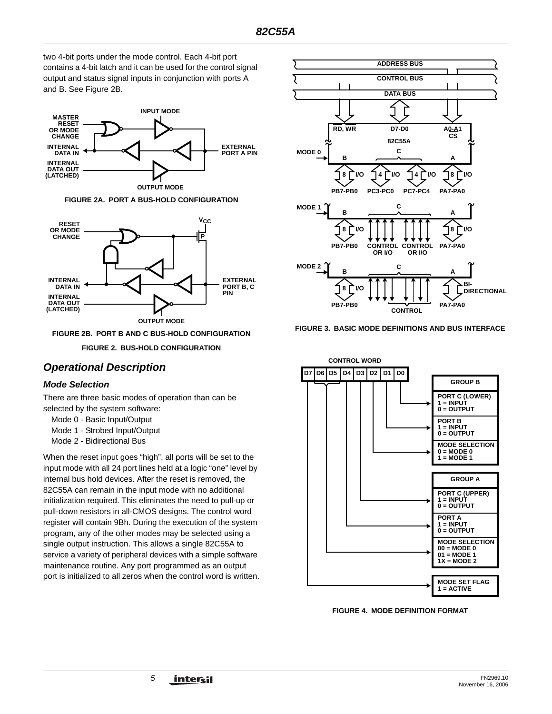two 4-bit ports under the mode control. Each 4-bit port contains a 4-bit latch and it can be used for the control signal output and status signal inputs in conjunction with ports A and B. See Figure 2B.



**FIGURE 2A. PORT A BUS-HOLD CONFIGURATION**



**FIGURE 2B. PORT B AND C BUS-HOLD CONFIGURATION**

**FIGURE 2. BUS-HOLD CONFIGURATION**

# *Operational Description*

#### *Mode Selection*

There are three basic modes of operation than can be selected by the system software:

- Mode 0 Basic Input/Output
- Mode 1 Strobed Input/Output
- Mode 2 Bidirectional Bus

When the reset input goes "high", all ports will be set to the input mode with all 24 port lines held at a logic "one" level by internal bus hold devices. After the reset is removed, the 82C55A can remain in the input mode with no additional initialization required. This eliminates the need to pull-up or pull-down resistors in all-CMOS designs. The control word register will contain 9Bh. During the execution of the system program, any of the other modes may be selected using a single output instruction. This allows a single 82C55A to service a variety of peripheral devices with a simple software maintenance routine. Any port programmed as an output port is initialized to all zeros when the control word is written.







**FIGURE 4. MODE DEFINITION FORMAT**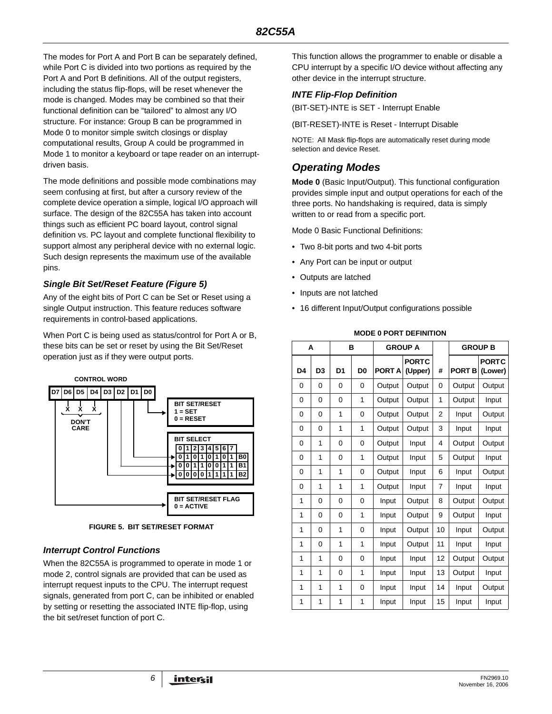The modes for Port A and Port B can be separately defined, while Port C is divided into two portions as required by the Port A and Port B definitions. All of the output registers, including the status flip-flops, will be reset whenever the mode is changed. Modes may be combined so that their functional definition can be "tailored" to almost any I/O structure. For instance: Group B can be programmed in Mode 0 to monitor simple switch closings or display computational results, Group A could be programmed in Mode 1 to monitor a keyboard or tape reader on an interruptdriven basis.

The mode definitions and possible mode combinations may seem confusing at first, but after a cursory review of the complete device operation a simple, logical I/O approach will surface. The design of the 82C55A has taken into account things such as efficient PC board layout, control signal definition vs. PC layout and complete functional flexibility to support almost any peripheral device with no external logic. Such design represents the maximum use of the available pins.

#### *Single Bit Set/Reset Feature (Figure 5)*

Any of the eight bits of Port C can be Set or Reset using a single Output instruction. This feature reduces software requirements in control-based applications.

When Port C is being used as status/control for Port A or B, these bits can be set or reset by using the Bit Set/Reset operation just as if they were output ports.



**FIGURE 5. BIT SET/RESET FORMAT**

## *Interrupt Control Functions*

When the 82C55A is programmed to operate in mode 1 or mode 2, control signals are provided that can be used as interrupt request inputs to the CPU. The interrupt request signals, generated from port C, can be inhibited or enabled by setting or resetting the associated INTE flip-flop, using the bit set/reset function of port C.

This function allows the programmer to enable or disable a CPU interrupt by a specific I/O device without affecting any other device in the interrupt structure.

## *INTE Flip-Flop Definition*

(BIT-SET)-INTE is SET - Interrupt Enable

(BIT-RESET)-INTE is Reset - Interrupt Disable

NOTE: All Mask flip-flops are automatically reset during mode selection and device Reset.

# *Operating Modes*

**Mode 0** (Basic Input/Output). This functional configuration provides simple input and output operations for each of the three ports. No handshaking is required, data is simply written to or read from a specific port.

Mode 0 Basic Functional Definitions:

- Two 8-bit ports and two 4-bit ports
- Any Port can be input or output
- Outputs are latched
- Inputs are not latched
- 16 different Input/Output configurations possible

#### **MODE 0 PORT DEFINITION**

|    | A              | B              |                |               | <b>GROUP A</b>          |                |               | <b>GROUP B</b>          |
|----|----------------|----------------|----------------|---------------|-------------------------|----------------|---------------|-------------------------|
| D4 | D <sub>3</sub> | D <sub>1</sub> | D <sub>0</sub> | <b>PORT A</b> | <b>PORTC</b><br>(Upper) | #              | <b>PORT B</b> | <b>PORTC</b><br>(Lower) |
| 0  | 0              | 0              | 0              | Output        | Output                  | 0              | Output        | Output                  |
| 0  | 0              | 0              | 1              | Output        | Output                  | 1              | Output        | Input                   |
| 0  | 0              | 1              | 0              | Output        | Output                  | $\overline{2}$ | Input         | Output                  |
| 0  | 0              | 1              | 1              | Output        | Output                  | 3              | Input         | Input                   |
| 0  | 1              | 0              | 0              | Output        | Input                   | 4              | Output        | Output                  |
| 0  | 1              | $\Omega$       | 1              | Output        | Input                   | 5              | Output        | Input                   |
| 0  | 1              | 1              | 0              | Output        | Input                   | 6              | Input         | Output                  |
| 0  | 1              | $\overline{1}$ | 1              | Output        | Input                   | $\overline{7}$ | Input         | Input                   |
| 1  | 0              | $\mathbf 0$    | 0              | Input         | Output                  | 8              | Output        | Output                  |
| 1  | 0              | 0              | 1              | Input         | Output                  | 9              | Output        | Input                   |
| 1  | 0              | $\overline{1}$ | 0              | Input         | Output                  | 10             | Input         | Output                  |
| 1  | 0              | 1              | 1              | Input         | Output                  | 11             | Input         | Input                   |
| 1  | 1              | 0              | 0              | Input         | Input                   | 12             | Output        | Output                  |
| 1  | 1              | $\mathbf 0$    | 1              | Input         | Input                   | 13             | Output        | Input                   |
| 1  | 1              | 1              | 0              | Input         | Input                   | 14             | Input         | Output                  |
| 1  | 1              | 1              | 1              | Input         | Input                   | 15             | Input         | Input                   |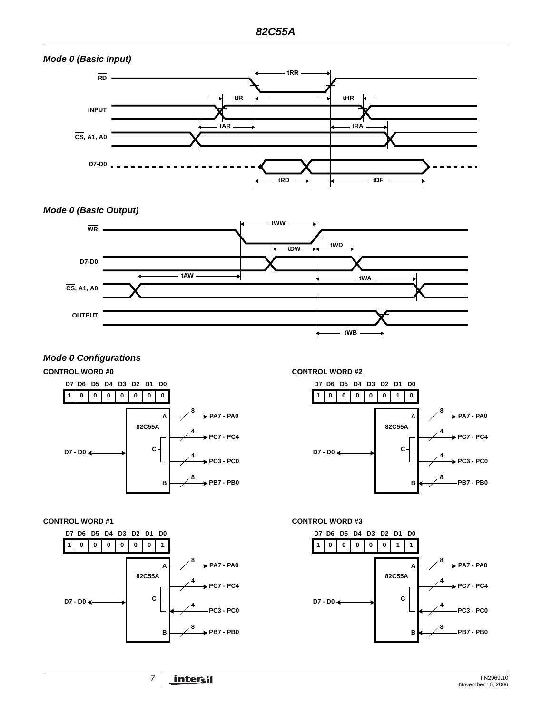

#### *Mode 0 Configurations*

#### **CONTROL WORD #0 CONTROL WORD #2**





**D7 D6 D5 D4 D3 D2 D1 D0**

**1**

**0 0 0 0 0 1 0**

**D7 - D0**



**82C55A**

**C**

**A**

**B**

**8**

**4**

**4**

**8**

**PA7 - PA0**

**PC7 - PC4**

**PC3 - PC0**

**PB7 - PB0**

**CONTROL WORD #1 CONTROL WORD #3**

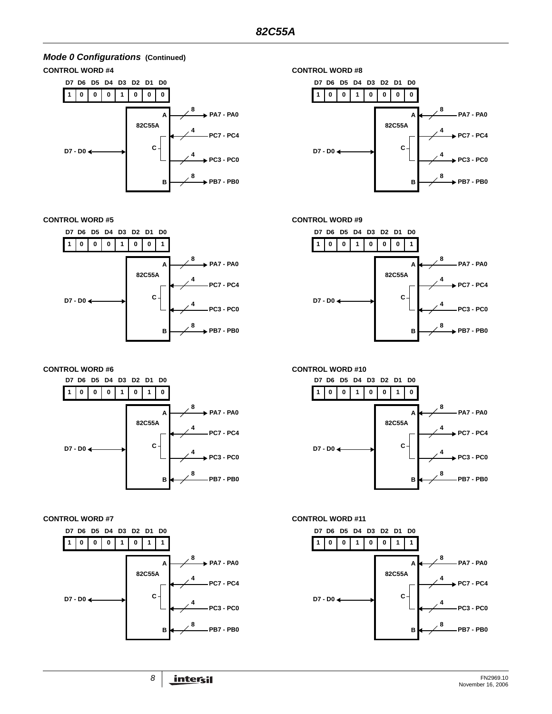# *Mode 0 Configurations* **(Continued)**







**CONTROL WORD #5 CONTROL WORD #9**



**CONTROL WORD #6 CONTROL WORD #10**









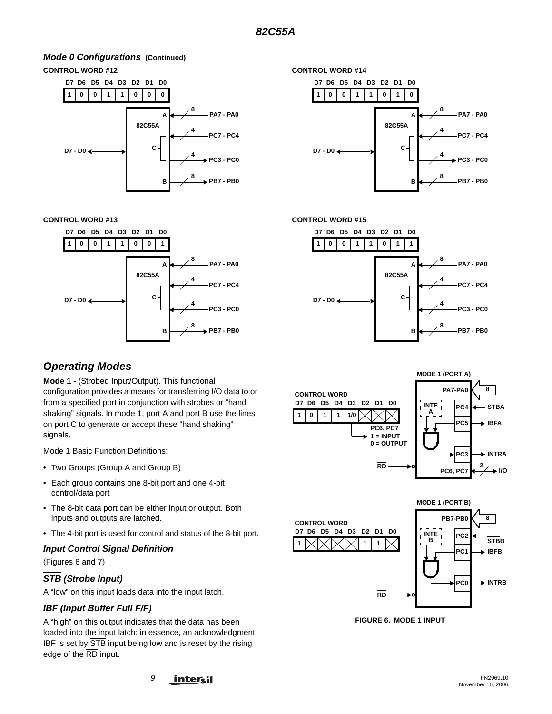# *Mode 0 Configurations* **(Continued)**



**CONTROL WORD #13 CONTROL WORD #15**



#### **1 D7 D6 D5 D4 D3 D2 D1 0 0 1 1 0 1 0 D0 8 PA7 - PA0 4 PC7 - PC4 4 PC3 - PC0 8 PB7 - PB0 D7 - D0 82C55A A B C**



# *Operating Modes*

**Mode 1** - (Strobed Input/Output). This functional configuration provides a means for transferring I/O data to or from a specified port in conjunction with strobes or "hand shaking" signals. In mode 1, port A and port B use the lines on port C to generate or accept these "hand shaking" signals.

Mode 1 Basic Function Definitions:

- Two Groups (Group A and Group B)
- Each group contains one 8-bit port and one 4-bit control/data port
- The 8-bit data port can be either input or output. Both inputs and outputs are latched.
- The 4-bit port is used for control and status of the 8-bit port.

## *Input Control Signal Definition*

(Figures 6 and 7)

## *STB (Strobe Input)*

A "low" on this input loads data into the input latch.

## *IBF (Input Buffer Full F/F)*

A "high" on this output indicates that the data has been loaded into the input latch: in essence, an acknowledgment. IBF is set by  $\overline{\text{STB}}$  input being low and is reset by the rising edge of the RD input.





**FIGURE 6. MODE 1 INPUT**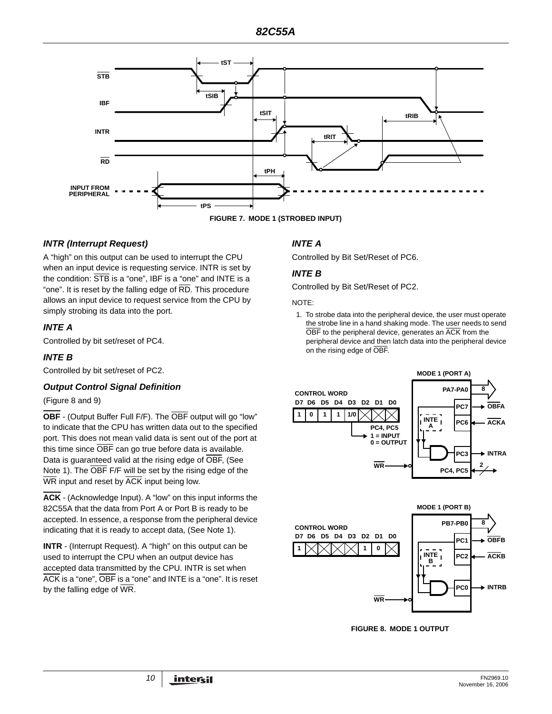

# *INTR (Interrupt Request)*

A "high" on this output can be used to interrupt the CPU when an input device is requesting service. INTR is set by the condition: STB is a "one", IBF is a "one" and INTE is a "one". It is reset by the falling edge of  $\overline{\text{RD}}$ . This procedure allows an input device to request service from the CPU by simply strobing its data into the port.

## *INTE A*

Controlled by bit set/reset of PC4.

#### *INTE B*

Controlled by bit set/reset of PC2.

#### *Output Control Signal Definition*

#### (Figure 8 and 9)

**OBF** - (Output Buffer Full F/F). The OBF output will go "low" to indicate that the CPU has written data out to the specified port. This does not mean valid data is sent out of the port at this time since OBF can go true before data is available. Data is guaranteed valid at the rising edge of OBF, (See Note 1). The OBF F/F will be set by the rising edge of the WR input and reset by ACK input being low.

**ACK** - (Acknowledge Input). A "low" on this input informs the 82C55A that the data from Port A or Port B is ready to be accepted. In essence, a response from the peripheral device indicating that it is ready to accept data, (See Note 1).

**INTR** - (Interrupt Request). A "high" on this output can be used to interrupt the CPU when an output device has accepted data transmitted by the CPU. INTR is set when ACK is a "one", OBF is a "one" and INTE is a "one". It is reset by the falling edge of  $\overline{\text{WR}}$ .

## *INTE A*

Controlled by Bit Set/Reset of PC6.

#### *INTE B*

Controlled by Bit Set/Reset of PC2.

#### NOTE:

1. To strobe data into the peripheral device, the user must operate the strobe line in a hand shaking mode. The user needs to send OBF to the peripheral device, generates an ACK from the peripheral device and then latch data into the peripheral device on the rising edge of OBF.





**FIGURE 8. MODE 1 OUTPUT**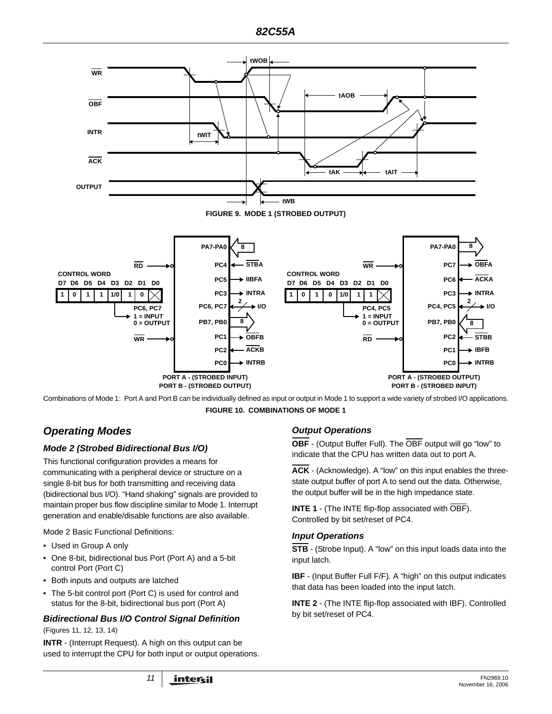

Combinations of Mode 1: Port A and Port B can be individually defined as input or output in Mode 1 to support a wide variety of strobed I/O applications. **FIGURE 10. COMBINATIONS OF MODE 1**

# *Operating Modes*

## *Mode 2 (Strobed Bidirectional Bus I/O)*

This functional configuration provides a means for communicating with a peripheral device or structure on a single 8-bit bus for both transmitting and receiving data (bidirectional bus I/O). "Hand shaking" signals are provided to maintain proper bus flow discipline similar to Mode 1. Interrupt generation and enable/disable functions are also available.

Mode 2 Basic Functional Definitions:

- Used in Group A only
- One 8-bit, bidirectional bus Port (Port A) and a 5-bit control Port (Port C)
- Both inputs and outputs are latched
- The 5-bit control port (Port C) is used for control and status for the 8-bit, bidirectional bus port (Port A)

## *Bidirectional Bus I/O Control Signal Definition*

(Figures 11, 12, 13, 14)

**INTR** - (Interrupt Request). A high on this output can be used to interrupt the CPU for both input or output operations.

# *Output Operations*

**OBF** - (Output Buffer Full). The OBF output will go "low" to indicate that the CPU has written data out to port A.

**ACK** - (Acknowledge). A "low" on this input enables the threestate output buffer of port A to send out the data. Otherwise, the output buffer will be in the high impedance state.

**INTE 1** - (The INTE flip-flop associated with OBF). Controlled by bit set/reset of PC4.

## *Input Operations*

**STB** - (Strobe Input). A "low" on this input loads data into the input latch.

**IBF** - (Input Buffer Full F/F). A "high" on this output indicates that data has been loaded into the input latch.

**INTE 2** - (The INTE flip-flop associated with IBF). Controlled by bit set/reset of PC4.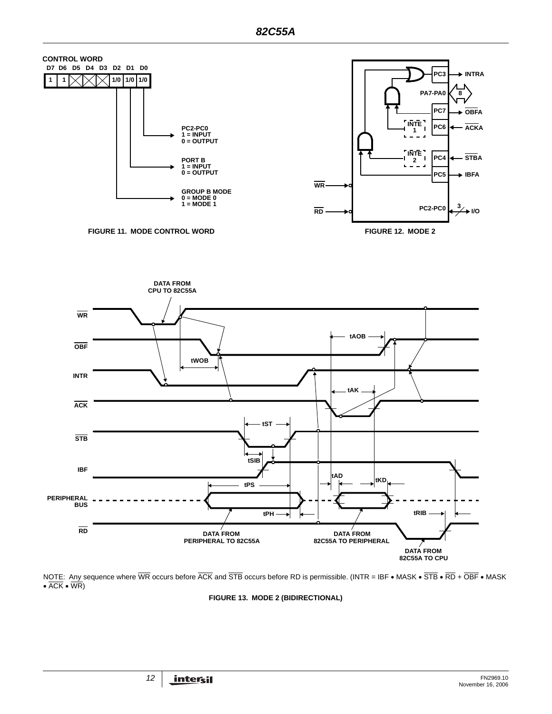

NOTE: Any sequence where WR occurs before ACK and STB occurs before RD is permissible. (INTR = IBF • MASK • STB • RD + OBF • MASK •  $\overline{ACK}$  •  $\overline{WR}$ 

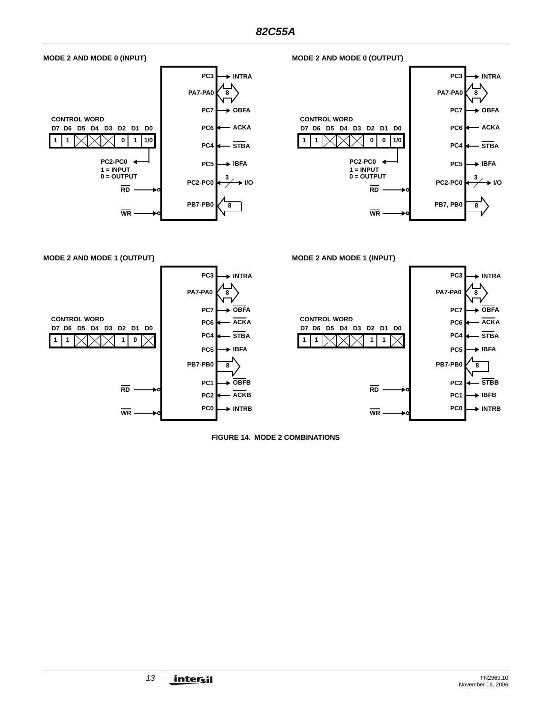

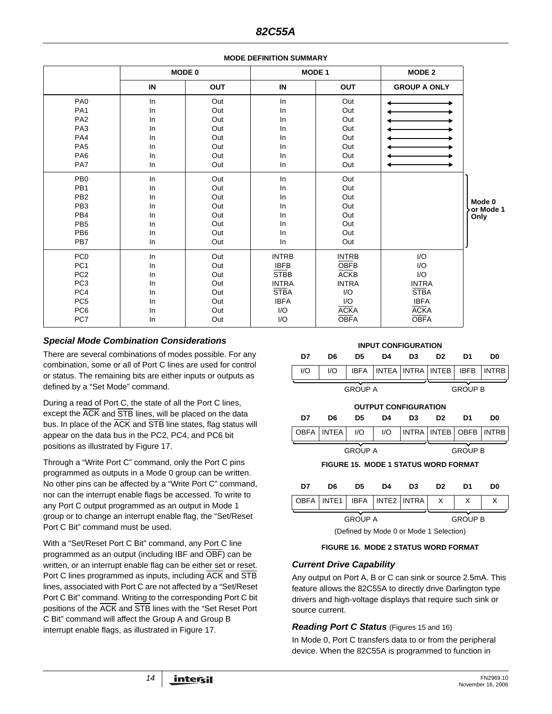|                 | MODE 0 |            |              | MODE 1       | <b>MODE 2</b>       |                     |
|-----------------|--------|------------|--------------|--------------|---------------------|---------------------|
|                 | IN     | <b>OUT</b> | IN           | <b>OUT</b>   | <b>GROUP A ONLY</b> |                     |
| PA <sub>0</sub> | In     | Out        | In           | Out          |                     |                     |
| PA <sub>1</sub> | In     | Out        | In           | Out          |                     |                     |
| PA <sub>2</sub> | In     | Out        | In           | Out          |                     |                     |
| PA <sub>3</sub> | In     | Out        | In           | Out          |                     |                     |
| PA4             | In     | Out        | In           | Out          |                     |                     |
| PA <sub>5</sub> | In     | Out        | In           | Out          |                     |                     |
| PA <sub>6</sub> | In     | Out        | In           | Out          |                     |                     |
| PA7             | In     | Out        | In           | Out          |                     |                     |
| PB <sub>0</sub> | In     | Out        | In           | Out          |                     |                     |
| PB <sub>1</sub> | In     | Out        | In           | Out          |                     |                     |
| PB <sub>2</sub> | In     | Out        | In           | Out          |                     |                     |
| PB <sub>3</sub> | In     | Out        | In           | Out          |                     | Mode 0<br>or Mode 1 |
| PB <sub>4</sub> | In     | Out        | In           | Out          |                     | Only                |
| PB <sub>5</sub> | In     | Out        | In.          | Out          |                     |                     |
| PB <sub>6</sub> | In     | Out        | In           | Out          |                     |                     |
| PB7             | In     | Out        | In           | Out          |                     |                     |
| PC <sub>0</sub> | ln     | Out        | <b>INTRB</b> | <b>INTRB</b> | I/O                 |                     |
| PC <sub>1</sub> | In     | Out        | <b>IBFB</b>  | <b>OBFB</b>  | I/O                 |                     |
| PC <sub>2</sub> | In     | Out        | <b>STBB</b>  | <b>ACKB</b>  | I/O                 |                     |
| PC <sub>3</sub> | ln     | Out        | <b>INTRA</b> | <b>INTRA</b> | <b>INTRA</b>        |                     |
| PC4             | In     | Out        | <b>STBA</b>  | I/O          | <b>STBA</b>         |                     |
| PC <sub>5</sub> | In     | Out        | <b>IBFA</b>  | I/O          | <b>IBFA</b>         |                     |
| PC <sub>6</sub> | In     | Out        | I/O          | <b>ACKA</b>  | <b>ACKA</b>         |                     |
| PC7             | In     | Out        | I/O          | <b>OBFA</b>  | <b>OBFA</b>         |                     |

#### **MODE DEFINITION SUMMARY**

## *Special Mode Combination Considerations*

There are several combinations of modes possible. For any combination, some or all of Port C lines are used for control or status. The remaining bits are either inputs or outputs as defined by a "Set Mode" command.

During a read of Port C, the state of all the Port C lines, except the ACK and STB lines, will be placed on the data bus. In place of the ACK and STB line states, flag status will appear on the data bus in the PC2, PC4, and PC6 bit positions as illustrated by Figure 17.

Through a "Write Port C" command, only the Port C pins programmed as outputs in a Mode 0 group can be written. No other pins can be affected by a "Write Port C" command, nor can the interrupt enable flags be accessed. To write to any Port C output programmed as an output in Mode 1 group or to change an interrupt enable flag, the "Set/Reset Port C Bit" command must be used.

With a "Set/Reset Port C Bit" command, any Port C line programmed as an output (including IBF and OBF) can be written, or an interrupt enable flag can be either set or reset. Port C lines programmed as inputs, including ACK and STB lines, associated with Port C are not affected by a "Set/Reset Port C Bit" command. Writing to the corresponding Port C bit positions of the ACK and STB lines with the "Set Reset Port C Bit" command will affect the Group A and Group B interrupt enable flags, as illustrated in Figure 17.



#### **FIGURE 16. MODE 2 STATUS WORD FORMAT**

#### *Current Drive Capability*

Any output on Port A, B or C can sink or source 2.5mA. This feature allows the 82C55A to directly drive Darlington type drivers and high-voltage displays that require such sink or source current.

#### *Reading Port C Status* (Figures 15 and 16)

In Mode 0, Port C transfers data to or from the peripheral device. When the 82C55A is programmed to function in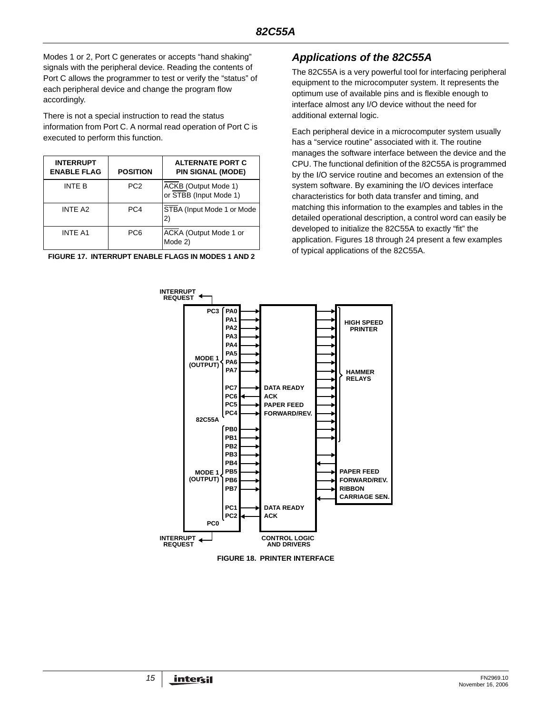Modes 1 or 2, Port C generates or accepts "hand shaking" signals with the peripheral device. Reading the contents of Port C allows the programmer to test or verify the "status" of each peripheral device and change the program flow accordingly.

There is not a special instruction to read the status information from Port C. A normal read operation of Port C is executed to perform this function.

| <b>INTERRUPT</b><br><b>ENABLE FLAG</b> | <b>POSITION</b> | <b>ALTERNATE PORT C</b><br><b>PIN SIGNAL (MODE)</b> |
|----------------------------------------|-----------------|-----------------------------------------------------|
| INTF B                                 | PC <sub>2</sub> | ACKB (Output Mode 1)<br>or STBB (Input Mode 1)      |
| INTE A2                                | PC4             | STBA (Input Mode 1 or Mode)<br>2)                   |
| <b>INTE A1</b>                         | PC6             | ACKA (Output Mode 1 or<br>Mode 2)                   |

# *Applications of the 82C55A*

The 82C55A is a very powerful tool for interfacing peripheral equipment to the microcomputer system. It represents the optimum use of available pins and is flexible enough to interface almost any I/O device without the need for additional external logic.

Each peripheral device in a microcomputer system usually has a "service routine" associated with it. The routine manages the software interface between the device and the CPU. The functional definition of the 82C55A is programmed by the I/O service routine and becomes an extension of the system software. By examining the I/O devices interface characteristics for both data transfer and timing, and matching this information to the examples and tables in the detailed operational description, a control word can easily be developed to initialize the 82C55A to exactly "fit" the application. Figures 18 through 24 present a few examples of typical applications of the 82C55A.



**FIGURE 18. PRINTER INTERFACE**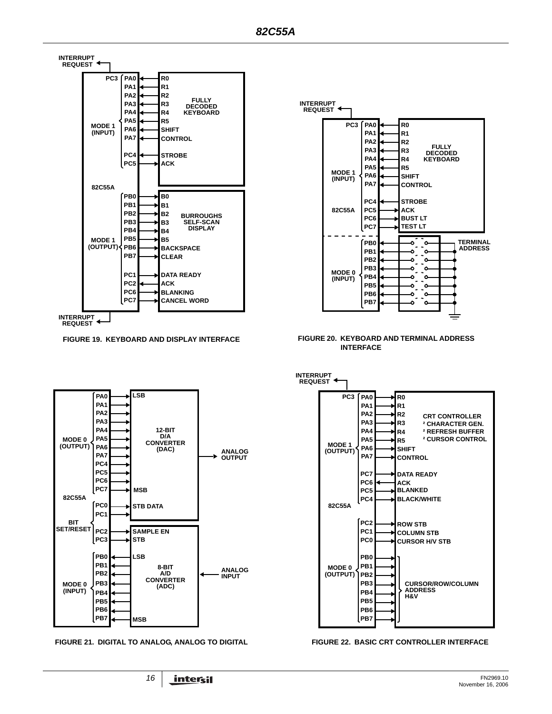



**FIGURE 19. KEYBOARD AND DISPLAY INTERFACE FIGURE 20. KEYBOARD AND TERMINAL ADDRESS INTERFACE**



**FIGURE 21. DIGITAL TO ANALOG, ANALOG TO DIGITAL FIGURE 22. BASIC CRT CONTROLLER INTERFACE**

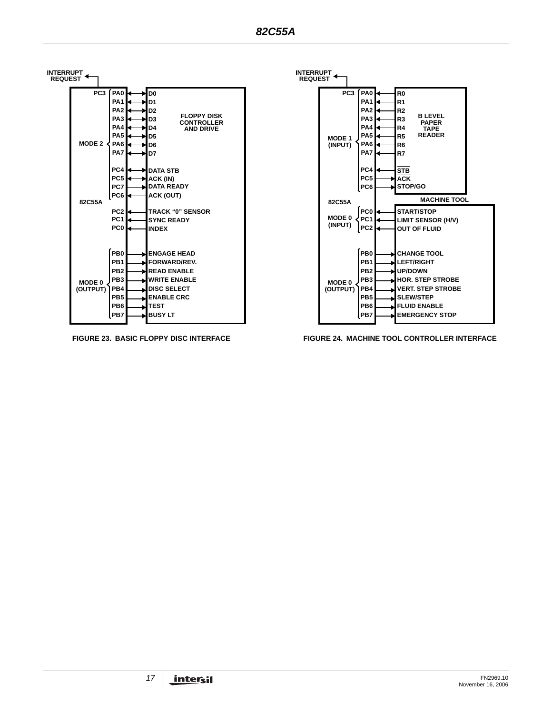



**FIGURE 23. BASIC FLOPPY DISC INTERFACE FIGURE 24. MACHINE TOOL CONTROLLER INTERFACE**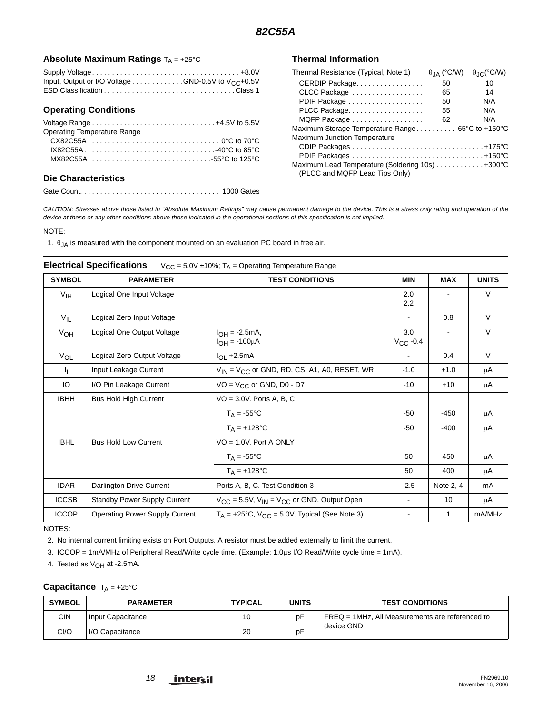#### Absolute Maximum Ratings  $T_A = +25^\circ C$  Thermal Information

| Input, Output or I/O Voltage GND-0.5V to $V_{CC}$ +0.5V |  |
|---------------------------------------------------------|--|
|                                                         |  |

#### **Operating Conditions**

| <b>Operating Temperature Range</b> |  |
|------------------------------------|--|
|                                    |  |
| $IX82C55A$ 40°C to 85°C            |  |
|                                    |  |
|                                    |  |

#### **Die Characteristics**

Gate Count. . . . . . . . . . . . . . . . . . . . . . . . . . . . . . . . . . . 1000 Gates

| Thermal Resistance (Typical, Note 1)              | $\theta_{\mathsf{IA}}$ (°C/W) | $\theta$ IC(°C/W) |
|---------------------------------------------------|-------------------------------|-------------------|
| CERDIP Package                                    | 50                            | 10                |
| CLCC Package                                      | 65                            | 14                |
| PDIP Package                                      | 50                            | N/A               |
| PLCC Package                                      | 55                            | N/A               |
| MQFP Package                                      | 62                            | N/A               |
| Maximum Storage Temperature Range -65°C to +150°C |                               |                   |
| Maximum Junction Temperature                      |                               |                   |
|                                                   |                               |                   |
|                                                   |                               |                   |
| Maximum Lead Temperature (Soldering 10s) +300°C   |                               |                   |
| (PLCC and MQFP Lead Tips Only)                    |                               |                   |

*CAUTION: Stresses above those listed in "Absolute Maximum Ratings" may cause permanent damage to the device. This is a stress only rating and operation of the device at these or any other conditions above those indicated in the operational sections of this specification is not implied.*

#### NOTE:

1.  $\theta_{JA}$  is measured with the component mounted on an evaluation PC board in free air.

| <b>SYMBOL</b>   | <b>PARAMETER</b>                      | <b>TEST CONDITIONS</b>                                   | <b>MIN</b>           | <b>MAX</b> | <b>UNITS</b> |
|-----------------|---------------------------------------|----------------------------------------------------------|----------------------|------------|--------------|
| $V_{\text{IH}}$ | Logical One Input Voltage             |                                                          | 2.0<br>2.2           |            | V            |
| $V_{IL}$        | Logical Zero Input Voltage            |                                                          |                      | 0.8        | $\vee$       |
| $V_{OH}$        | Logical One Output Voltage            | $I_{OH} = -2.5mA,$<br>$I_{OH} = -100 \mu A$              | 3.0<br>$V_{CC}$ -0.4 |            | $\vee$       |
| $V_{OL}$        | Logical Zero Output Voltage           | $I_{OL}$ +2.5mA                                          |                      | 0.4        | $\vee$       |
| 4.              | Input Leakage Current                 | $V_{1N}$ = $V_{CC}$ or GND, RD, CS, A1, A0, RESET, WR    | $-1.0$               | $+1.0$     | μA           |
| IO              | I/O Pin Leakage Current               | $VO = V_{CC}$ or GND, D0 - D7                            | $-10$                | $+10$      | μA           |
| <b>IBHH</b>     | <b>Bus Hold High Current</b>          | $VO = 3.0V$ . Ports A, B, C                              |                      |            |              |
|                 |                                       | $T_A = -55^{\circ}C$                                     | $-50$                | -450       | μA           |
|                 |                                       | $T_A = +128$ °C                                          | $-50$                | $-400$     | μA           |
| <b>IBHL</b>     | <b>Bus Hold Low Current</b>           | $VO = 1.0V$ . Port A ONLY                                |                      |            |              |
|                 |                                       | $T_A = -55^{\circ}C$                                     | 50                   | 450        | μA           |
|                 |                                       | $T_A = +128$ °C                                          | 50                   | 400        | μA           |
| <b>IDAR</b>     | Darlington Drive Current              | Ports A, B, C. Test Condition 3                          | $-2.5$               | Note 2, 4  | mA           |
| <b>ICCSB</b>    | <b>Standby Power Supply Current</b>   | $V_{CC}$ = 5.5V, $V_{IN}$ = $V_{CC}$ or GND. Output Open |                      | 10         | μA           |
| <b>ICCOP</b>    | <b>Operating Power Supply Current</b> | $T_A$ = +25°C, $V_{CC}$ = 5.0V, Typical (See Note 3)     |                      | 1          | mA/MHz       |

#### NOTES:

2. No internal current limiting exists on Port Outputs. A resistor must be added externally to limit the current.

3. ICCOP = 1mA/MHz of Peripheral Read/Write cycle time. (Example: 1.0μs I/O Read/Write cycle time = 1mA).

4. Tested as  $V_{OH}$  at -2.5mA.

## **Capacitance** T<sub>A</sub> = +25°C

| <b>SYMBOL</b> | <b>PARAMETER</b>  | <b>TYPICAL</b> | UNITS | <b>TEST CONDITIONS</b>                             |
|---------------|-------------------|----------------|-------|----------------------------------------------------|
| CIN           | Input Capacitance |                | ₽Þ    | $FREG = 1MHz$ . All Measurements are referenced to |
| CI/O          | I/O Capacitance   | 20             | D٣    | device GND                                         |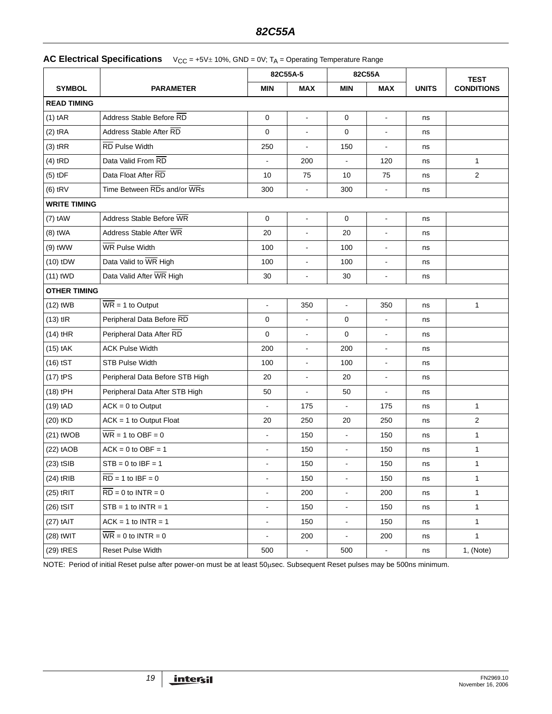|  | <b>AC Electrical Specifications</b> $V_{CC} = +5V \pm 10\%$ , GND = 0V; T <sub>A</sub> = Operating Temperature Range |
|--|----------------------------------------------------------------------------------------------------------------------|
|--|----------------------------------------------------------------------------------------------------------------------|

|                     |                                       | 82C55A-5       |                       | 82C55A         |                          |              | <b>TEST</b>       |
|---------------------|---------------------------------------|----------------|-----------------------|----------------|--------------------------|--------------|-------------------|
| <b>SYMBOL</b>       | <b>PARAMETER</b>                      | <b>MIN</b>     | <b>MAX</b>            | <b>MIN</b>     | <b>MAX</b>               | <b>UNITS</b> | <b>CONDITIONS</b> |
| <b>READ TIMING</b>  |                                       |                |                       |                |                          |              |                   |
| $(1)$ tAR           | Address Stable Before RD              | $\mathbf 0$    | $\tilde{\phantom{a}}$ | $\mathbf 0$    | $\blacksquare$           | ns           |                   |
| $(2)$ tRA           | Address Stable After RD               | $\mathbf 0$    | $\blacksquare$        | $\mathbf 0$    | $\blacksquare$           | ns           |                   |
| $(3)$ tRR           | <b>RD</b> Pulse Width                 | 250            |                       | 150            | $\overline{\phantom{a}}$ | ns           |                   |
| $(4)$ tRD           | Data Valid From RD                    |                | 200                   | $\mathbf{r}$   | 120                      | ns           | 1                 |
| $(5)$ tDF           | Data Float After RD                   | 10             | 75                    | 10             | 75                       | ns           | 2                 |
| $(6)$ tRV           | Time Between RDs and/or WRs           | 300            | $\sim$                | 300            | $\overline{\phantom{a}}$ | ns           |                   |
| <b>WRITE TIMING</b> |                                       |                |                       |                |                          |              |                   |
| $(7)$ tAW           | Address Stable Before WR              | $\mathbf 0$    | $\blacksquare$        | 0              | $\blacksquare$           | ns           |                   |
| $(8)$ tWA           | Address Stable After WR               | 20             |                       | 20             |                          | ns           |                   |
| $(9)$ tWW           | WR Pulse Width                        | 100            | $\blacksquare$        | 100            | $\overline{\phantom{a}}$ | ns           |                   |
| $(10)$ tDW          | Data Valid to WR High                 | 100            | $\blacksquare$        | 100            | $\blacksquare$           | ns           |                   |
| $(11)$ tWD          | Data Valid After WR High              | 30             | $\overline{a}$        | 30             | ä,                       | ns           |                   |
| <b>OTHER TIMING</b> |                                       |                |                       |                |                          |              |                   |
| $(12)$ tWB          | $\overline{\text{WR}}$ = 1 to Output  | $\blacksquare$ | 350                   | $\blacksquare$ | 350                      | ns           | 1                 |
| $(13)$ tlR          | Peripheral Data Before RD             | $\mathbf 0$    |                       | $\mathbf 0$    | ä,                       | ns           |                   |
| $(14)$ tHR          | Peripheral Data After RD              | $\mathbf 0$    | $\blacksquare$        | $\mathbf 0$    | ÷,                       | ns           |                   |
| $(15)$ tAK          | <b>ACK Pulse Width</b>                | 200            | $\blacksquare$        | 200            | $\blacksquare$           | ns           |                   |
| $(16)$ tST          | <b>STB Pulse Width</b>                | 100            | $\blacksquare$        | 100            | $\overline{\phantom{a}}$ | ns           |                   |
| $(17)$ tPS          | Peripheral Data Before STB High       | 20             | $\blacksquare$        | 20             | $\frac{1}{2}$            | ns           |                   |
| (18) tPH            | Peripheral Data After STB High        | 50             | $\blacksquare$        | 50             | $\blacksquare$           | ns           |                   |
| $(19)$ tAD          | $ACK = 0$ to Output                   |                | 175                   | $\blacksquare$ | 175                      | ns           | $\mathbf{1}$      |
| (20) tKD            | $ACK = 1$ to Output Float             | 20             | 250                   | 20             | 250                      | ns           | $\overline{2}$    |
| $(21)$ tWOB         | $\overline{\text{WR}}$ = 1 to OBF = 0 | $\blacksquare$ | 150                   | $\blacksquare$ | 150                      | ns           | $\mathbf{1}$      |
| $(22)$ tAOB         | $ACK = 0$ to $OBF = 1$                | $\blacksquare$ | 150                   | $\blacksquare$ | 150                      | ns           | $\mathbf{1}$      |
| $(23)$ tSIB         | $STB = 0$ to $IBF = 1$                |                | 150                   | $\blacksquare$ | 150                      | ns           | $\mathbf{1}$      |
| $(24)$ tRIB         | $\overline{RD}$ = 1 to IBF = 0        | $\blacksquare$ | 150                   | $\blacksquare$ | 150                      | ns           | 1                 |
| $(25)$ tRIT         | $RD = 0$ to $INTER = 0$               | $\blacksquare$ | 200                   | $\blacksquare$ | 200                      | ns           | $\mathbf{1}$      |
| $(26)$ tSIT         | $STB = 1$ to INTR = 1                 | $\blacksquare$ | 150                   | $\blacksquare$ | 150                      | ns           | 1                 |
| $(27)$ tAIT         | $ACK = 1$ to $INTER = 1$              | $\blacksquare$ | 150                   | $\blacksquare$ | 150                      | ns           | $\mathbf{1}$      |
| $(28)$ tWIT         | $WR = 0$ to $INTR = 0$                | $\blacksquare$ | 200                   | $\blacksquare$ | 200                      | ns           | $\mathbf{1}$      |
| (29) tRES           | <b>Reset Pulse Width</b>              | 500            | $\blacksquare$        | 500            |                          | ns           | 1, (Note)         |

NOTE: Period of initial Reset pulse after power-on must be at least 50μsec. Subsequent Reset pulses may be 500ns minimum.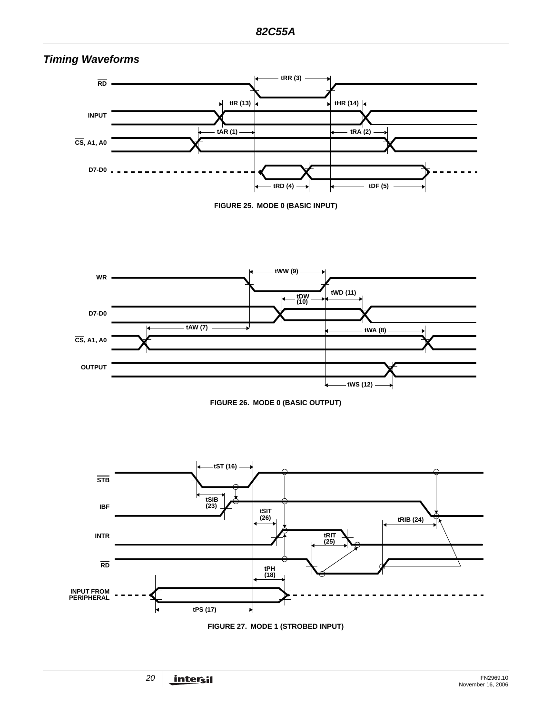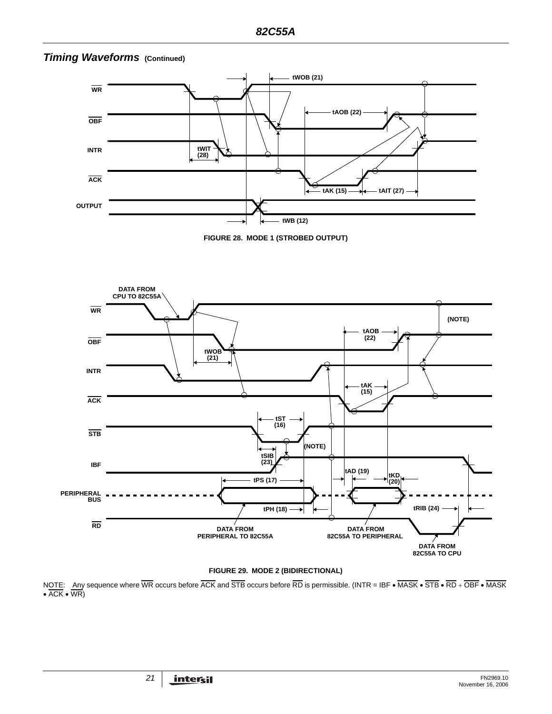

# *Timing Waveforms* (Continued)

#### **FIGURE 29. MODE 2 (BIDIRECTIONAL)**

NOTE: Any sequence where WR occurs before ACK and STB occurs before RD is permissible. (INTR = IBF • MASK • STB • RD + OBF • MASK • ACK • WR)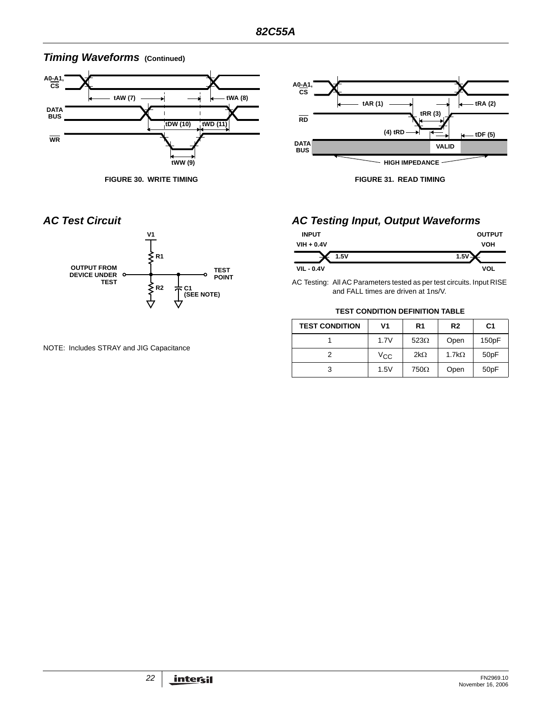# *Timing Waveforms* (Continued)



**FIGURE 30. WRITE TIMING FIGURE 31. READ TIMING**





NOTE: Includes STRAY and JIG Capacitance

# *AC Test Circuit AC Testing Input, Output Waveforms*

| <b>INPUT</b>      | <b>OUTPUT</b> |
|-------------------|---------------|
| $VIH + 0.4V$      | <b>VOH</b>    |
| 1.5V              | $1.5^{\circ}$ |
| <b>VIL - 0.4V</b> | VOL           |

AC Testing: All AC Parameters tested as per test circuits. Input RISE and FALL times are driven at 1ns/V.

#### **TEST CONDITION DEFINITION TABLE**

| <b>TEST CONDITION</b> | V1   | R <sub>1</sub> | R <sub>2</sub> | C <sub>1</sub>   |
|-----------------------|------|----------------|----------------|------------------|
|                       | 1.7V | $523\Omega$    | Open           | 150pF            |
|                       | Vcc  | $2k\Omega$     | $1.7k\Omega$   | 50 <sub>pF</sub> |
| 3                     | 1.5V | $750\Omega$    | Open           | 50pF             |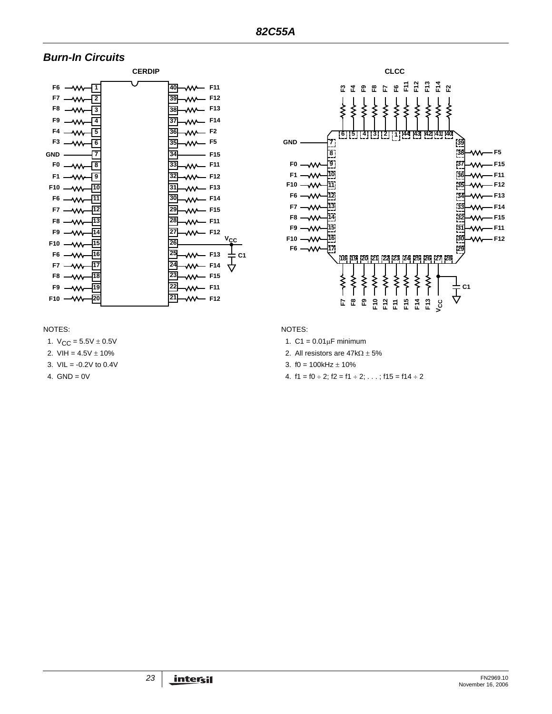# *Burn-In Circuits*





#### NOTES:

1.  $V_{CC} = 5.5V \pm 0.5V$ 

- 2. VIH =  $4.5V \pm 10\%$
- 3.  $VIL = -0.2V$  to 0.4V
- 4.  $GND = 0V$

#### NOTES:

- 1.  $C1 = 0.01 \mu F$  minimum
- 2. All resistors are  $47k\Omega \pm 5\%$
- 3.  $f0 = 100kHz + 10%$
- 4.  $f1 = f0 \div 2$ ;  $f2 = f1 \div 2$ ; ...;  $f15 = f14 \div 2$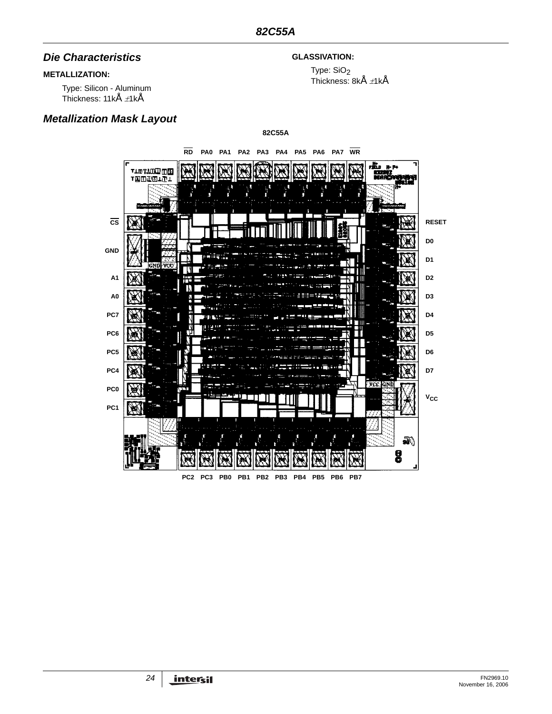## *Die Characteristics*

## **METALLIZATION:**

Type: Silicon - Aluminum Thickness: 11kÅ <sup>±</sup>1kÅ

# *Metallization Mask Layout*

## **GLASSIVATION:**

Type: SiO<sub>2</sub> Thickness: 8kÅ  $\pm$ 1kÅ

**82C55A**

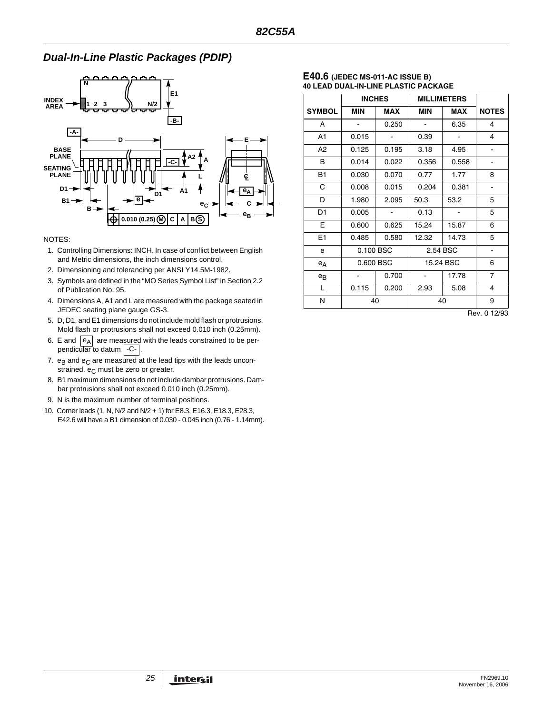# *Dual-In-Line Plastic Packages (PDIP)*



#### NOTES:

- 1. Controlling Dimensions: INCH. In case of conflict between English and Metric dimensions, the inch dimensions control.
- 2. Dimensioning and tolerancing per ANSI Y14.5M**-**1982.
- 3. Symbols are defined in the "MO Series Symbol List" in Section 2.2 of Publication No. 95.
- 4. Dimensions A, A1 and L are measured with the package seated in JEDEC seating plane gauge GS**-**3.
- 5. D, D1, and E1 dimensions do not include mold flash or protrusions. Mold flash or protrusions shall not exceed 0.010 inch (0.25mm).
- 6. E and  $|e_A|$  are measured with the leads constrained to be perpendicular to datum | -C- |.
- 7.  $e_B$  and  $e_C$  are measured at the lead tips with the leads unconstrained.  $e_C$  must be zero or greater.
- 8. B1 maximum dimensions do not include dambar protrusions. Dambar protrusions shall not exceed 0.010 inch (0.25mm).
- 9. N is the maximum number of terminal positions.
- 10. Corner leads (1, N, N/2 and N/2 + 1) for E8.3, E16.3, E18.3, E28.3, E42.6 will have a B1 dimension of 0.030 - 0.045 inch (0.76 - 1.14mm).

#### **E40.6 (JEDEC MS-011-AC ISSUE B) 40 LEAD DUAL-IN-LINE PLASTIC PACKAGE**

|                |                              | <b>INCHES</b> | <b>MILLIMETERS</b> |          |                |
|----------------|------------------------------|---------------|--------------------|----------|----------------|
| <b>SYMBOL</b>  | <b>MIN</b>                   | <b>MAX</b>    | <b>MIN</b>         | MAX      | <b>NOTES</b>   |
| A              |                              | 0.250         |                    | 6.35     | 4              |
| A1             | 0.015                        |               | 0.39               |          | 4              |
| A <sub>2</sub> | 0.125                        | 0.195         | 3.18               | 4.95     |                |
| В              | 0.014                        | 0.022         | 0.356              | 0.558    | -              |
| <b>B1</b>      | 0.030                        | 0.070         | 0.77               | 1.77     | 8              |
| C              | 0.008                        | 0.015         | 0.204              | 0.381    |                |
| D              | 1.980                        | 2.095         | 50.3               | 53.2     | 5              |
| D <sub>1</sub> | 0.005                        |               | 0.13               |          | 5              |
| Е              | 0.600                        | 0.625         | 15.24              | 15.87    | 6              |
| E1             | 0.485                        | 0.580         | 12.32              | 14.73    | 5              |
| e              |                              | 0.100 BSC     |                    | 2.54 BSC | -              |
| $e_A$          |                              | 0.600 BSC     | 15.24 BSC          |          | 6              |
| $e_{B}$        | $\qquad \qquad \blacksquare$ | 0.700         | $\blacksquare$     | 17.78    | $\overline{7}$ |
| L              | 0.115                        | 0.200         | 2.93               | 5.08     | 4              |
| N              |                              | 40            | 40                 |          | 9              |

Rev. 0 12/93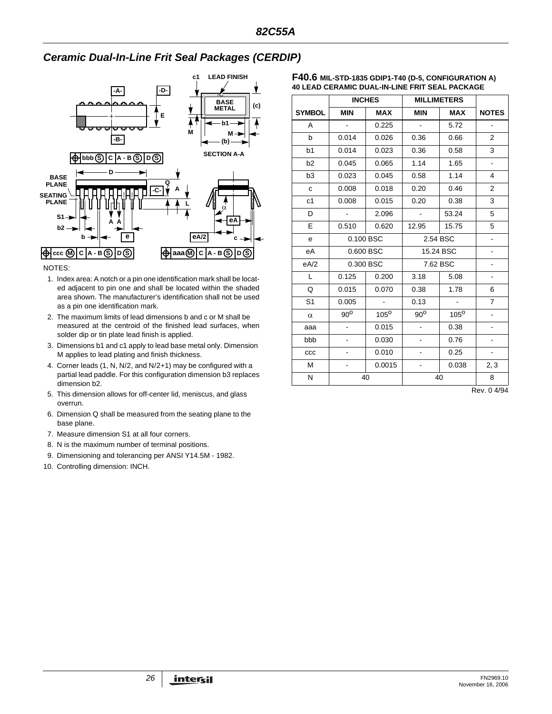# *Ceramic Dual-In-Line Frit Seal Packages (CERDIP)*



NOTES:

- 1. Index area: A notch or a pin one identification mark shall be located adjacent to pin one and shall be located within the shaded area shown. The manufacturer's identification shall not be used as a pin one identification mark.
- 2. The maximum limits of lead dimensions b and c or M shall be measured at the centroid of the finished lead surfaces, when solder dip or tin plate lead finish is applied.
- 3. Dimensions b1 and c1 apply to lead base metal only. Dimension M applies to lead plating and finish thickness.
- 4. Corner leads (1, N, N/2, and N/2+1) may be configured with a partial lead paddle. For this configuration dimension b3 replaces dimension b2.
- 5. This dimension allows for off-center lid, meniscus, and glass overrun.
- 6. Dimension Q shall be measured from the seating plane to the base plane.
- 7. Measure dimension S1 at all four corners.
- 8. N is the maximum number of terminal positions.
- 9. Dimensioning and tolerancing per ANSI Y14.5M 1982.
- 10. Controlling dimension: INCH.

| $F40.6$ Mil-STD-1835 GDIP1-T40 (D-5, CONFIGURATION A) |
|-------------------------------------------------------|
| 40 LEAD CERAMIC DUAL-IN-LINE FRIT SEAL PACKAGE        |

|                |                              | <b>INCHES</b>  | <b>MILLIMETERS</b>       |                |                          |
|----------------|------------------------------|----------------|--------------------------|----------------|--------------------------|
| <b>SYMBOL</b>  | <b>MIN</b>                   | <b>MAX</b>     | <b>MIN</b>               | <b>MAX</b>     | <b>NOTES</b>             |
| A              | $\overline{a}$               | 0.225          | $\omega$                 | 5.72           | ÷,                       |
| b              | 0.014                        | 0.026          | 0.36                     | 0.66           | 2                        |
| b <sub>1</sub> | 0.014                        | 0.023          | 0.36                     | 0.58           | 3                        |
| b2             | 0.045                        | 0.065          | 1.14                     | 1.65           | $\blacksquare$           |
| b <sub>3</sub> | 0.023                        | 0.045          | 0.58                     | 1.14           | 4                        |
| $\mathbf{C}$   | 0.008                        | 0.018          | 0.20                     | 0.46           | $\overline{2}$           |
| c1             | 0.008                        | 0.015          | 0.20                     | 0.38           | 3                        |
| D              |                              | 2.096          | $\blacksquare$           | 53.24          | 5                        |
| E              | 0.510                        | 0.620          | 12.95                    | 15.75          | 5                        |
| e              |                              | 0.100 BSC      |                          | 2.54 BSC       |                          |
| еA             |                              | 0.600 BSC      |                          | 15.24 BSC      |                          |
| eA/2           |                              | 0.300 BSC      |                          | 7.62 BSC       |                          |
| L              | 0.125                        | 0.200          | 3.18                     | 5.08           | $\overline{\phantom{a}}$ |
| Q              | 0.015                        | 0.070          | 0.38                     | 1.78           | 6                        |
| S <sub>1</sub> | 0.005                        | $\blacksquare$ | 0.13                     | $\blacksquare$ | $\overline{7}$           |
| $\alpha$       | $90^{\circ}$                 | $105^\circ$    | $90^{\circ}$             | $105^\circ$    |                          |
| aaa            |                              | 0.015          | $\overline{\phantom{0}}$ | 0.38           |                          |
| bbb            |                              | 0.030          |                          | 0.76           |                          |
| CCC            | $\blacksquare$               | 0.010          | ٠                        | 0.25           | $\blacksquare$           |
| M              | $\qquad \qquad \blacksquare$ | 0.0015         | -                        | 0.038          | 2, 3                     |
| N              | 40                           |                | 40                       |                | 8                        |

Rev. 0 4/94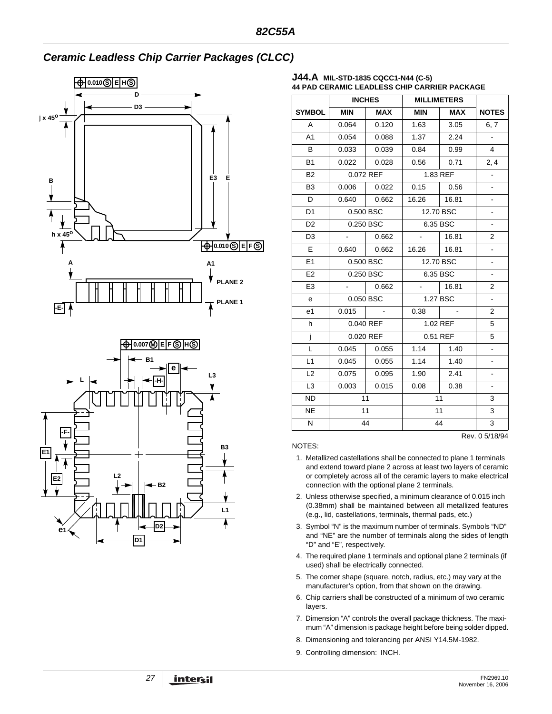# *Ceramic Leadless Chip Carrier Packages (CLCC)*



#### **J44.A MIL-STD-1835 CQCC1-N44 (C-5) 44 PAD CERAMIC LEADLESS CHIP CARRIER PACKAGE**

|                |                                    | <b>INCHES</b> | <b>MILLIMETERS</b> |            |                |
|----------------|------------------------------------|---------------|--------------------|------------|----------------|
| <b>SYMBOL</b>  | <b>MIN</b>                         | <b>MAX</b>    | <b>MIN</b>         | <b>MAX</b> | <b>NOTES</b>   |
| $\mathsf{A}$   | 0.064                              | 0.120         | 1.63               | 3.05       | 6, 7           |
| A <sub>1</sub> | 0.054                              | 0.088         | 1.37               | 2.24       | $\blacksquare$ |
| B              | 0.033                              | 0.039         | 0.84               | 0.99       | $\overline{4}$ |
| <b>B1</b>      | 0.022                              | 0.028         | 0.56               | 0.71       | 2, 4           |
| <b>B2</b>      |                                    | 0.072 REF     | 1.83 REF           |            | $\blacksquare$ |
| B <sub>3</sub> | 0.006                              | 0.022         | 0.15               | 0.56       | ÷,             |
| D              | 0.640                              | 0.662         | 16.26   16.81      |            |                |
| D <sub>1</sub> |                                    | 0.500 BSC     |                    | 12.70 BSC  | ٠              |
| D <sub>2</sub> |                                    | 0.250 BSC     |                    | 6.35 BSC   | ä,             |
| D <sub>3</sub> | $\sim$                             | 0.662         | $\blacksquare$     | 16.81      | $\overline{2}$ |
| E              | 0.640                              | 0.662         | 16.26              | 16.81      | ÷              |
| E1             |                                    | 0.500 BSC     |                    | 12.70 BSC  |                |
| E2             |                                    | 0.250 BSC     | 6.35 BSC           |            | ۰              |
| E <sub>3</sub> | $\Delta \sim 10^{10}$ km s $^{-1}$ | 0.662         |                    | $-$ 16.81  | $\overline{2}$ |
| e              |                                    | 0.050 BSC     |                    | 1.27 BSC   | $\blacksquare$ |
| e <sub>1</sub> | 0.015                              |               | 0.38               |            | $\overline{2}$ |
| h              |                                    | 0.040 REF     |                    | 1.02 REF   | 5              |
| j              |                                    | 0.020 REF     |                    | 0.51 REF   | 5              |
| L              | 0.045                              | 0.055         | 1.14               | 1.40       | $\frac{1}{2}$  |
| L1             | 0.045                              | 0.055         | 1.14               | 1.40       | $\blacksquare$ |
| L2             | 0.075                              | 0.095         | 1.90               | 2.41       |                |
| L <sub>3</sub> | 0.003                              | 0.015         | 0.08               | 0.38       |                |
| <b>ND</b>      | 11                                 |               |                    | 11         | 3              |
| <b>NE</b>      | 11                                 |               |                    | 11         | 3              |
| N              | 44                                 |               |                    | 44         | 3              |
|                |                                    |               |                    |            | Rev. 0 5/18/94 |

NOTES:

- 1. Metallized castellations shall be connected to plane 1 terminals and extend toward plane 2 across at least two layers of ceramic or completely across all of the ceramic layers to make electrical connection with the optional plane 2 terminals.
- 2. Unless otherwise specified, a minimum clearance of 0.015 inch (0.38mm) shall be maintained between all metallized features (e.g., lid, castellations, terminals, thermal pads, etc.)
- 3. Symbol "N" is the maximum number of terminals. Symbols "ND" and "NE" are the number of terminals along the sides of length "D" and "E", respectively.
- 4. The required plane 1 terminals and optional plane 2 terminals (if used) shall be electrically connected.
- 5. The corner shape (square, notch, radius, etc.) may vary at the manufacturer's option, from that shown on the drawing.
- 6. Chip carriers shall be constructed of a minimum of two ceramic layers.
- 7. Dimension "A" controls the overall package thickness. The maximum "A" dimension is package height before being solder dipped.
- 8. Dimensioning and tolerancing per ANSI Y14.5M-1982.
- 9. Controlling dimension: INCH.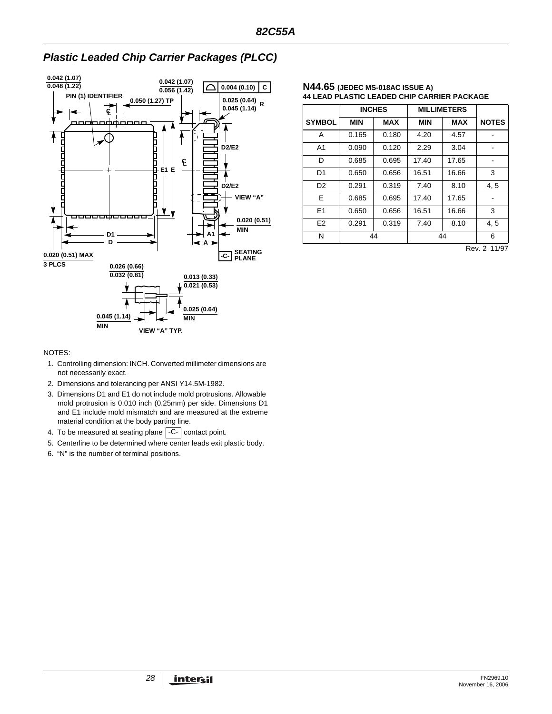

# *Plastic Leaded Chip Carrier Packages (PLCC)*

#### **N44.65 (JEDEC MS-018AC ISSUE A) 44 LEAD PLASTIC LEADED CHIP CARRIER PACKAGE**

|                |            | <b>INCHES</b> |            | <b>MILLIMETERS</b> |              |
|----------------|------------|---------------|------------|--------------------|--------------|
| <b>SYMBOL</b>  | <b>MIN</b> | <b>MAX</b>    | <b>MIN</b> | <b>MAX</b>         | <b>NOTES</b> |
| A              | 0.165      | 0.180         | 4.20       | 4.57               |              |
| A <sub>1</sub> | 0.090      | 0.120         | 2.29       | 3.04               |              |
| D              | 0.685      | 0.695         | 17.40      | 17.65              |              |
| D <sub>1</sub> | 0.650      | 0.656         | 16.51      | 16.66              | 3            |
| D <sub>2</sub> | 0.291      | 0.319         | 7.40       | 8.10               | 4, 5         |
| E              | 0.685      | 0.695         | 17.40      | 17.65              |              |
| E1             | 0.650      | 0.656         | 16.51      | 16.66              | 3            |
| E <sub>2</sub> | 0.291      | 0.319         | 7.40       | 8.10               | 4, 5         |
| N              |            | 44            | 44         |                    | 6            |

Rev. 2 11/97

#### NOTES:

- 1. Controlling dimension: INCH. Converted millimeter dimensions are not necessarily exact.
- 2. Dimensions and tolerancing per ANSI Y14.5M-1982.
- 3. Dimensions D1 and E1 do not include mold protrusions. Allowable mold protrusion is 0.010 inch (0.25mm) per side. Dimensions D1 and E1 include mold mismatch and are measured at the extreme material condition at the body parting line.
- 4. To be measured at seating plane  $\lfloor$  -C- $\rfloor$  contact point.
- 5. Centerline to be determined where center leads exit plastic body.
- 6. "N" is the number of terminal positions.